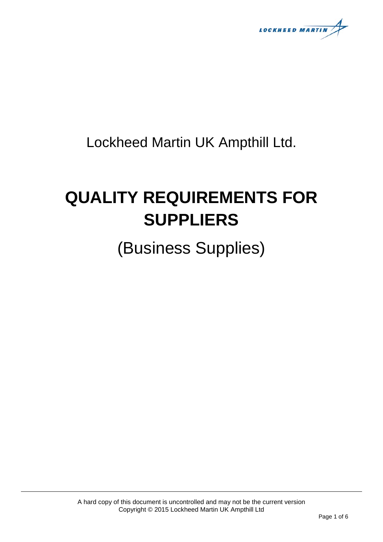**LOCKHEED MARTIN** 

Lockheed Martin UK Ampthill Ltd.

# **QUALITY REQUIREMENTS FOR SUPPLIERS**

(Business Supplies)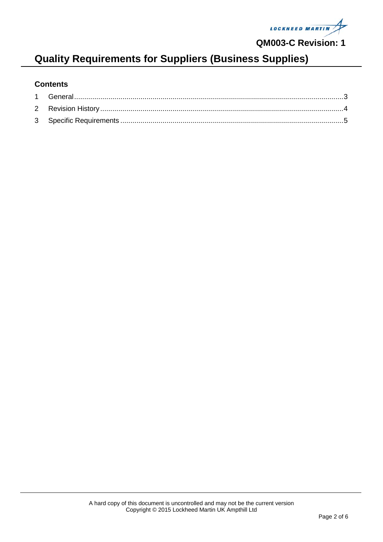

## **Quality Requirements for Suppliers (Business Supplies)**

#### **Contents**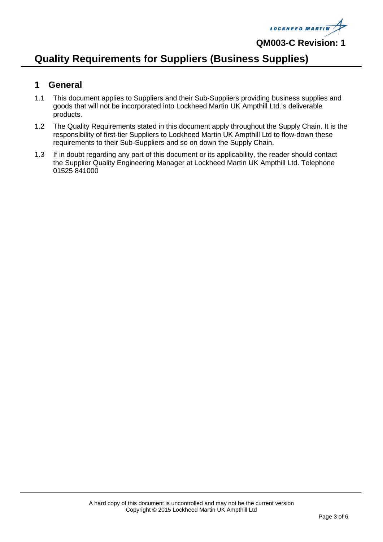**LOCKHEED MARTIN** 

## **Quality Requirements for Suppliers (Business Supplies)**

#### <span id="page-2-0"></span>**1 General**

- 1.1 This document applies to Suppliers and their Sub-Suppliers providing business supplies and goods that will not be incorporated into Lockheed Martin UK Ampthill Ltd.'s deliverable products.
- 1.2 The Quality Requirements stated in this document apply throughout the Supply Chain. It is the responsibility of first-tier Suppliers to Lockheed Martin UK Ampthill Ltd to flow-down these requirements to their Sub-Suppliers and so on down the Supply Chain.
- 1.3 If in doubt regarding any part of this document or its applicability, the reader should contact the Supplier Quality Engineering Manager at Lockheed Martin UK Ampthill Ltd. Telephone 01525 841000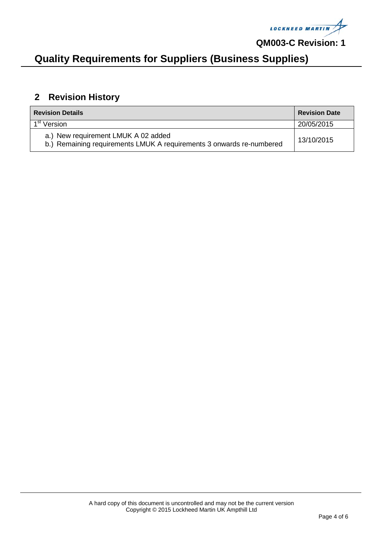

## **Quality Requirements for Suppliers (Business Supplies)**

#### <span id="page-3-0"></span>**2 Revision History**

| <b>Revision Details</b>                                                                                     | <b>Revision Date</b> |
|-------------------------------------------------------------------------------------------------------------|----------------------|
| 1 <sup>st</sup> Version                                                                                     | 20/05/2015           |
| a.) New requirement LMUK A 02 added<br>b.) Remaining requirements LMUK A requirements 3 onwards re-numbered | 13/10/2015           |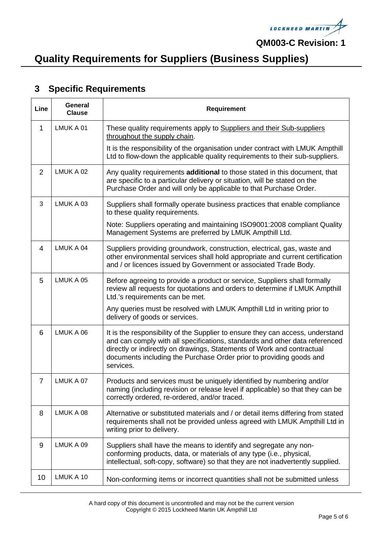

## **Quality Requirements for Suppliers (Business Supplies)**

### <span id="page-4-0"></span>**3 Specific Requirements**

| Line           | <b>General</b><br><b>Clause</b> | Requirement                                                                                                                                                                                                                                                                                                                 |
|----------------|---------------------------------|-----------------------------------------------------------------------------------------------------------------------------------------------------------------------------------------------------------------------------------------------------------------------------------------------------------------------------|
| 1              | LMUK A 01                       | These quality requirements apply to Suppliers and their Sub-suppliers<br>throughout the supply chain.                                                                                                                                                                                                                       |
|                |                                 | It is the responsibility of the organisation under contract with LMUK Ampthill<br>Ltd to flow-down the applicable quality requirements to their sub-suppliers.                                                                                                                                                              |
| 2              | LMUK A 02                       | Any quality requirements additional to those stated in this document, that<br>are specific to a particular delivery or situation, will be stated on the<br>Purchase Order and will only be applicable to that Purchase Order.                                                                                               |
| 3              | LMUK A 03                       | Suppliers shall formally operate business practices that enable compliance<br>to these quality requirements.                                                                                                                                                                                                                |
|                |                                 | Note: Suppliers operating and maintaining ISO9001:2008 compliant Quality<br>Management Systems are preferred by LMUK Ampthill Ltd.                                                                                                                                                                                          |
| 4              | LMUK A 04                       | Suppliers providing groundwork, construction, electrical, gas, waste and<br>other environmental services shall hold appropriate and current certification<br>and / or licences issued by Government or associated Trade Body.                                                                                               |
| 5              | LMUK A 05                       | Before agreeing to provide a product or service, Suppliers shall formally<br>review all requests for quotations and orders to determine if LMUK Ampthill<br>Ltd.'s requirements can be met.                                                                                                                                 |
|                |                                 | Any queries must be resolved with LMUK Ampthill Ltd in writing prior to<br>delivery of goods or services.                                                                                                                                                                                                                   |
| 6              | LMUK A 06                       | It is the responsibility of the Supplier to ensure they can access, understand<br>and can comply with all specifications, standards and other data referenced<br>directly or indirectly on drawings, Statements of Work and contractual<br>documents including the Purchase Order prior to providing goods and<br>services. |
| $\overline{7}$ | LMUK A 07                       | Products and services must be uniquely identified by numbering and/or<br>naming (including revision or release level if applicable) so that they can be<br>correctly ordered, re-ordered, and/or traced.                                                                                                                    |
| 8              | LMUK A 08                       | Alternative or substituted materials and / or detail items differing from stated<br>requirements shall not be provided unless agreed with LMUK Ampthill Ltd in<br>writing prior to delivery.                                                                                                                                |
| 9              | LMUK A 09                       | Suppliers shall have the means to identify and segregate any non-<br>conforming products, data, or materials of any type (i.e., physical,<br>intellectual, soft-copy, software) so that they are not inadvertently supplied.                                                                                                |
| 10             | LMUK A 10                       | Non-conforming items or incorrect quantities shall not be submitted unless                                                                                                                                                                                                                                                  |